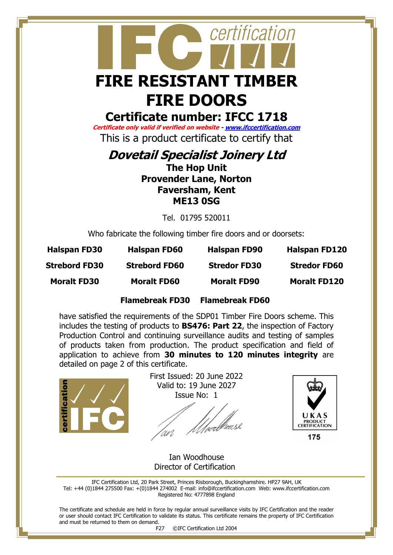## certification **FIRE RESISTANT TIMBER FIRE DOORS**

### **Certificate number: IFCC 1718**

**Certificate only valid if verified on website - [www.ifccertification.com](http://www.ifccertification.com/)** This is a product certificate to certify that

**Dovetail Specialist Joinery Ltd** 

**The Hop Unit Provender Lane, Norton Faversham, Kent ME13 0SG**

Tel. 01795 520011

Who fabricate the following timber fire doors and or doorsets:

| <b>Halspan FD30</b>  | <b>Halspan FD60</b>  | <b>Halspan FD90</b> | <b>Halspan FD120</b> |
|----------------------|----------------------|---------------------|----------------------|
| <b>Strebord FD30</b> | <b>Strebord FD60</b> | <b>Stredor FD30</b> | <b>Stredor FD60</b>  |
| <b>Moralt FD30</b>   | <b>Moralt FD60</b>   | <b>Moralt FD90</b>  | <b>Moralt FD120</b>  |

#### **Flamebreak FD30 Flamebreak FD60**

have satisfied the requirements of the SDP01 Timber Fire Doors scheme. This includes the testing of products to **BS476: Part 22**, the inspection of Factory Production Control and continuing surveillance audits and testing of samples of products taken from production. The product specification and field of application to achieve from **30 minutes to 120 minutes integrity** are detailed on page 2 of this certificate.



First Issued: 20 June 2022 Valid to: 19 June 2027 Issue No: 1

/µrlhousl 'WV



175

 Ian Woodhouse Director of Certification

IFC Certification Ltd, 20 Park Street, Princes Risborough, Buckinghamshire. HP27 9AH, UK Tel: +44 (0)1844 275500 Fax: +(0)1844 274002 E-mail[: info@ifccertification.com](mailto:info@ifccertification.com) Web: [www.ifccertification.com](http://www.ifccertification.com/) Registered No: 4777898 England

The certificate and schedule are held in force by regular annual surveillance visits by IFC Certification and the reader or user should contact IFC Certification to validate its status. This certificate remains the property of IFC Certification and must be returned to them on demand.

F27 ©IFC Certification Ltd 2004